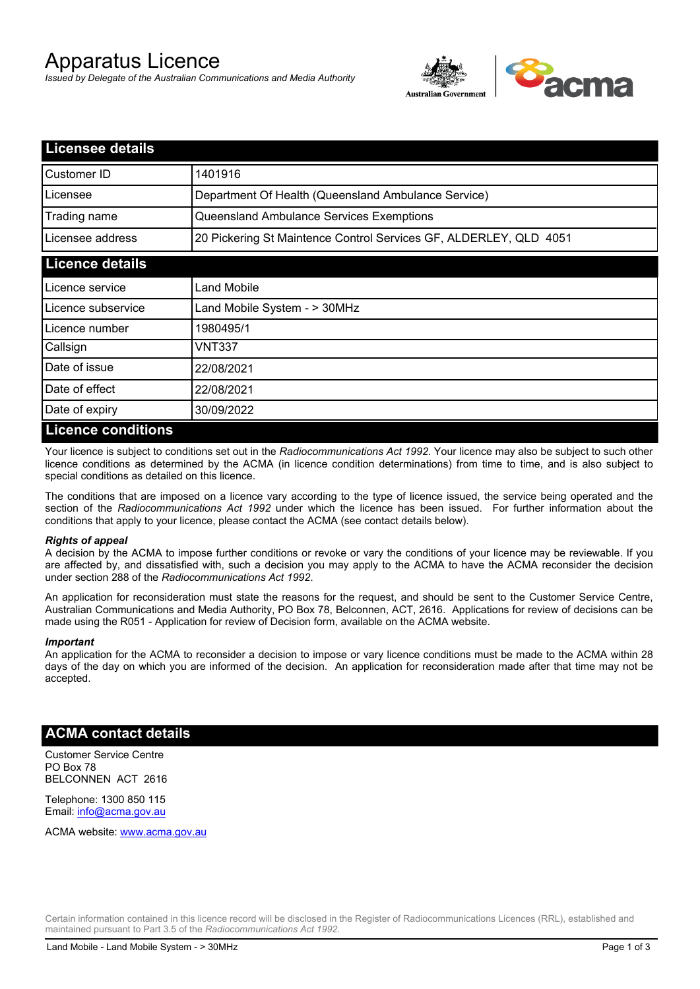# Apparatus Licence

*Issued by Delegate of the Australian Communications and Media Authority*



| <b>Licensee details</b>   |                                                                   |
|---------------------------|-------------------------------------------------------------------|
| Customer ID               | 1401916                                                           |
| Licensee                  | Department Of Health (Queensland Ambulance Service)               |
| Trading name              | Queensland Ambulance Services Exemptions                          |
| Licensee address          | 20 Pickering St Maintence Control Services GF, ALDERLEY, QLD 4051 |
| <b>Licence details</b>    |                                                                   |
| l Licence service         | <b>Land Mobile</b>                                                |
| Licence subservice        | Land Mobile System - > 30MHz                                      |
| Licence number            | 1980495/1                                                         |
| Callsign                  | VNT337                                                            |
| Date of issue             | 22/08/2021                                                        |
| Date of effect            | 22/08/2021                                                        |
| Date of expiry            | 30/09/2022                                                        |
| <u>Licence conditions</u> |                                                                   |

## **Licence conditions**

Your licence is subject to conditions set out in the *Radiocommunications Act 1992*. Your licence may also be subject to such other licence conditions as determined by the ACMA (in licence condition determinations) from time to time, and is also subject to special conditions as detailed on this licence.

The conditions that are imposed on a licence vary according to the type of licence issued, the service being operated and the section of the *Radiocommunications Act 1992* under which the licence has been issued. For further information about the conditions that apply to your licence, please contact the ACMA (see contact details below).

### *Rights of appeal*

A decision by the ACMA to impose further conditions or revoke or vary the conditions of your licence may be reviewable. If you are affected by, and dissatisfied with, such a decision you may apply to the ACMA to have the ACMA reconsider the decision under section 288 of the *Radiocommunications Act 1992*.

An application for reconsideration must state the reasons for the request, and should be sent to the Customer Service Centre, Australian Communications and Media Authority, PO Box 78, Belconnen, ACT, 2616. Applications for review of decisions can be made using the R051 - Application for review of Decision form, available on the ACMA website.

#### *Important*

An application for the ACMA to reconsider a decision to impose or vary licence conditions must be made to the ACMA within 28 days of the day on which you are informed of the decision. An application for reconsideration made after that time may not be accepted.

## **ACMA contact details**

Customer Service Centre PO Box 78 BELCONNEN ACT 2616

Telephone: 1300 850 115 Email: info@acma.gov.au

ACMA website: www.acma.gov.au

Certain information contained in this licence record will be disclosed in the Register of Radiocommunications Licences (RRL), established and maintained pursuant to Part 3.5 of the *Radiocommunications Act 1992.*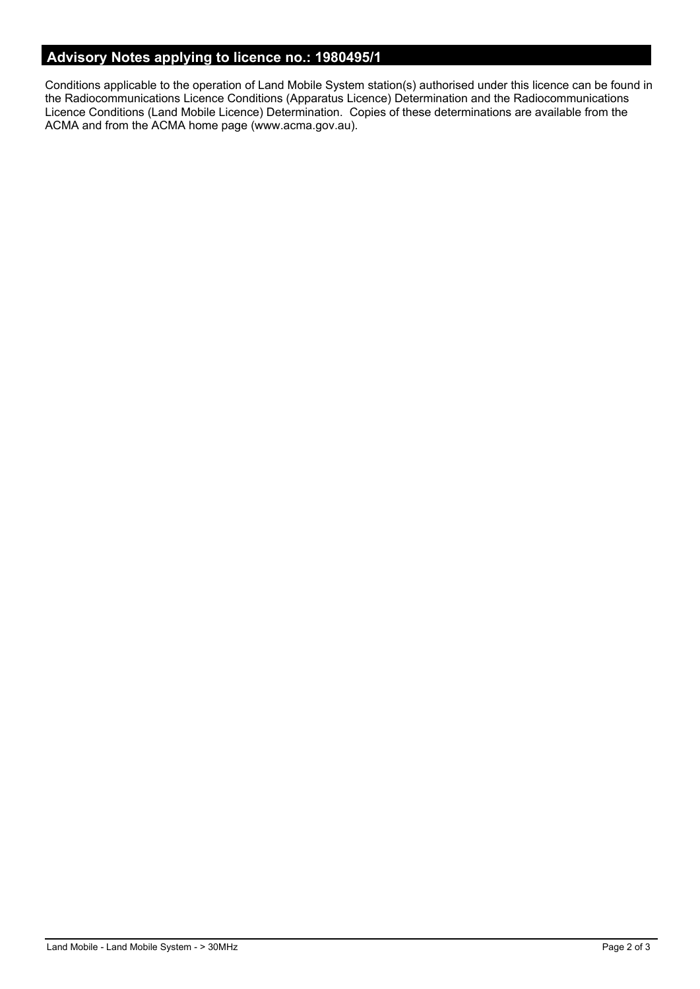# **Advisory Notes applying to licence no.: 1980495/1**

Conditions applicable to the operation of Land Mobile System station(s) authorised under this licence can be found in the Radiocommunications Licence Conditions (Apparatus Licence) Determination and the Radiocommunications Licence Conditions (Land Mobile Licence) Determination. Copies of these determinations are available from the ACMA and from the ACMA home page (www.acma.gov.au).